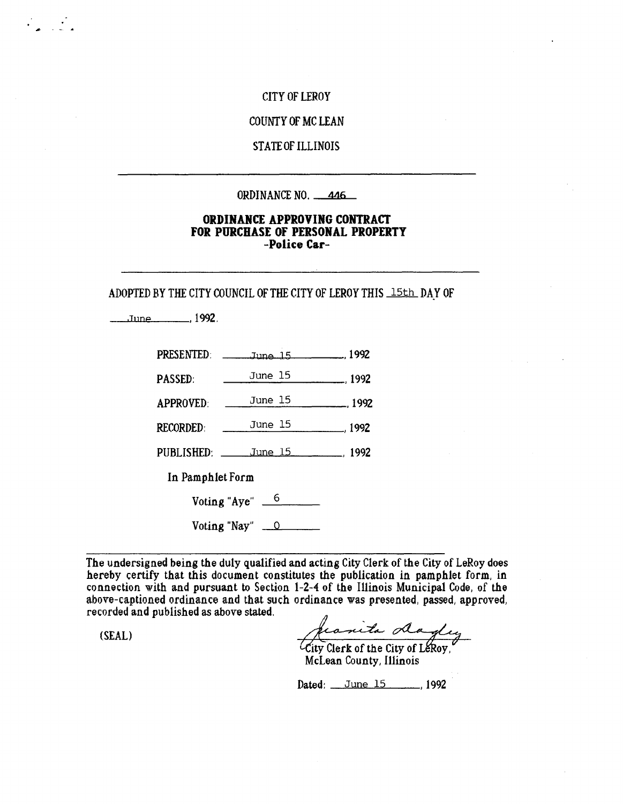#### CITY OF LEROY

#### COUNTY OF MC LEAN

### **STATE OF ILLINOIS**

#### ORDINANCE NO. 446

### ORDINANCE APPROVING CONTRACT FOR PURCHASE OF PERSONAL PROPERTT -Police Car-

ADOPTED BY THE CITY COUNCIL OF THE CITY OF LEROY THIS 15th DAY OF

Jane , 1992.

 $\mathcal{L} = \mathcal{L}$ 

| <b>PRESENTED:</b>                 | June 15 1992                   |                  |  |
|-----------------------------------|--------------------------------|------------------|--|
| PASSED:                           | June 15                        | $\frac{1992}{2}$ |  |
| <b>APPROVED:</b>                  | June 15                        | $\frac{1992}{2}$ |  |
| <b>RECORDED:</b>                  | June 15                        | $\frac{1992}{2}$ |  |
|                                   | PUBLISHED: June 15 1992        |                  |  |
| In Pamphlet Form                  |                                |                  |  |
| Voting "Aye" $\frac{6}{\sqrt{2}}$ |                                |                  |  |
|                                   | Voting "Nay" $\qquad \qquad 0$ |                  |  |

The undersigned being the duly qualified and acting City Clerk of the City of LeRoy does hereby certify that this document constitutes the publication in pamphlet form, in connection with and pursuant to Section 1-2-4 of the Illinois Municipal Code, of the above-captioned ordinance and that such ordinance was presented, passed, approved, recorded and published as above stated.

(SEAL)

franita dagley

McLean County, Illinois

Dated: June 15 1992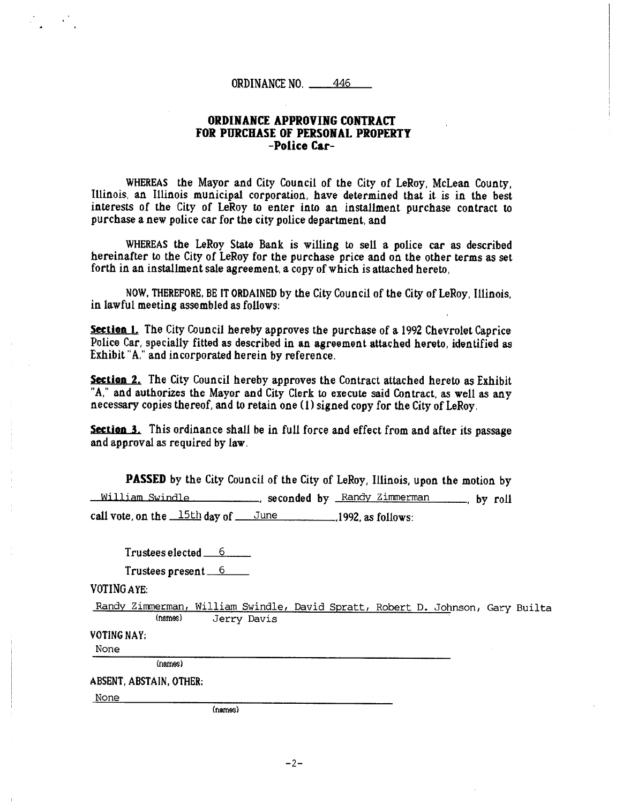#### ORDINANCE APPROVING CONTRACT FOR PURCHASE OF PERSONAL PROPERTY -Police Car-

WHEREAS the Mayor and City Council of the City of LeRoy, McLean County, Illinois, an Illinois municipal corporation, have determined that it is in the best interests of the City of LeRoy to enter into an installment purchase contract to purchase a new police car for the city police department, and

WHEREAS the LeRoy State Bank is willing to sell a police car as described hereinafter to the City of LeRoy for the purchase price and on the other terms as set forth in an installment sale agreement, a copy of which is attached hereto,

NOW, THEREFORE, BE IT ORDAINED by the City Council of the City of LeRoy, Illinois, in lawful meeting assembled as follows:

Section 1. The City Council hereby approves the purchase of a 1992 Chevrolet Caprice Police Car, specially fitted as described in an agreement attached hereto, identified as Exhibit "A," and incorporated herein by reference.

Section 2. The City Council hereby approves the Contract attached hereto as Exhibit "A," and authorizes the Mayor and City Clerk to execute said Contract, as well as any necessary copies thereof, and to retain one (1) signed copy for the City of LeRoy,

Section 3. This ordinance shall be in full force and effect from and after its passage and approval as required by law.

PASSED by the City Council of the City of LeRoy, Illinois, upon the motion by William Swindle , seconded by Randy Zimmerman by roll call vote, on the  $\frac{15th}{day}$  of  $\frac{June}{1992}$ , as follows:

 $T$ rustees elected  $6$ 

Trustees present 6

VOTING AYE:

Randy Zimmerman, William Swindle, David Spratt, Robert D. Johnson, Gary Builta Jerry Davis

VOTING NAY:

None

(names)

ABSENT, ABSTAIN, OTHER:

None

(names)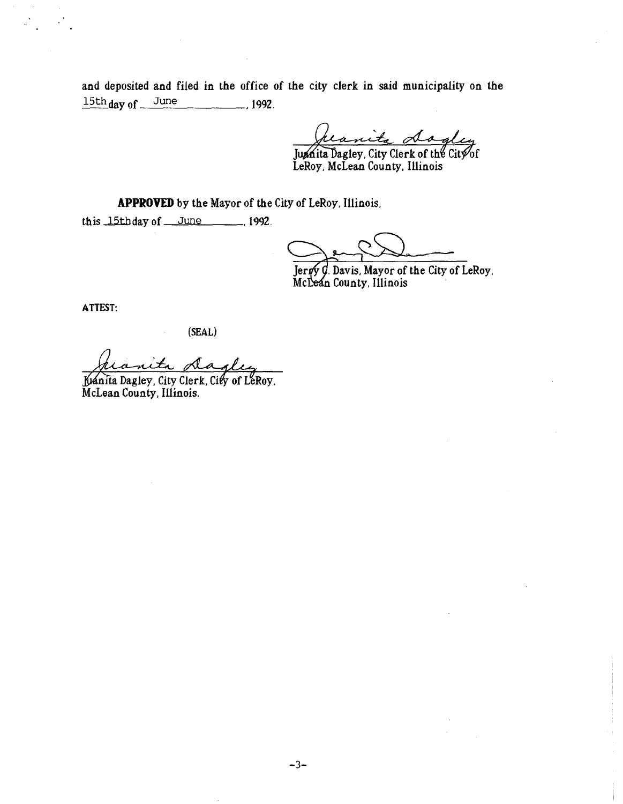and deposited and filed in the office of the city clerk in said municipality on the  $15th$  day of June 1992.

Juanita dogley

LeRoy, McLean County, Illinois

APPROVED by the Mayor of the City of LeRoy, Illinois,

this  $15t$  b day of June ,1992.

Jergy G. Davis, Mayor of the City of LeRoy, Mc**Leán** County, Illinois

ATTEST:

(SEAL)

Sla

Juánita Dagley, City Clerk, City of LeRoy, McLean County, Illinois.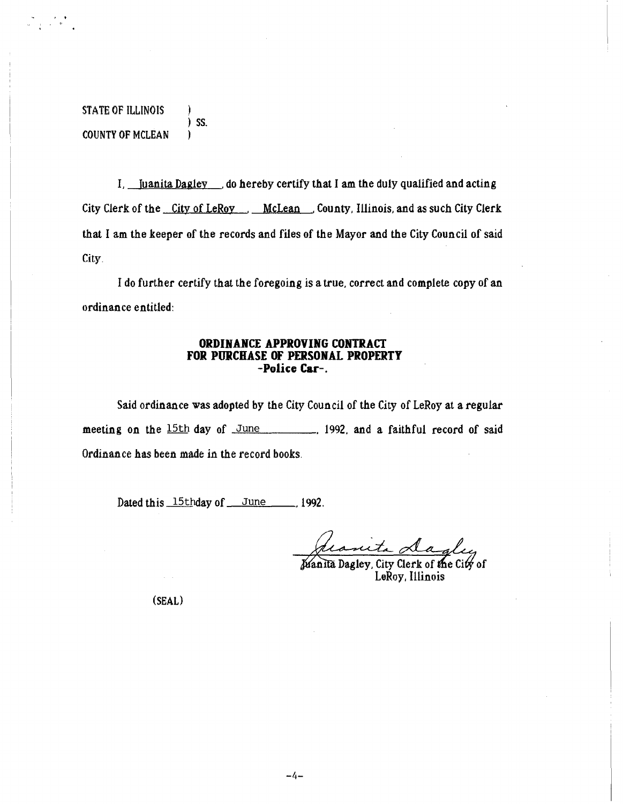STATE OF ILLINOIS ) SS. COUNTY OF MCLEAN

ine i svetske<br>Gregorie i Marij

I, Juanita Dagley do hereby certify that I am the duly qualified and acting City Clerk of the City of LeRoy . McLean , County, Illinois, and as such City Clerk that I am the keeper of the records and files of the Mayor and the City Council of said City.

I do further certify that the foregoing is a true, correct and complete copy of an ordinance entitled:

#### ORDINANCE APPROVING CONTRACT FOR PURCHASE OF PERSONAL PROPERTY -Police Car-.

Said ordinance was adopted by the City Council of the City of LeRoy at a regular meeting on the 15th day of June , 1992, and a faithful record of said Ordinance has been made in the record books.

Dated this 15thday of June 1992.

Juanita Dagley, City Clerk of the City of LeRoy, Illinois

(SEAL)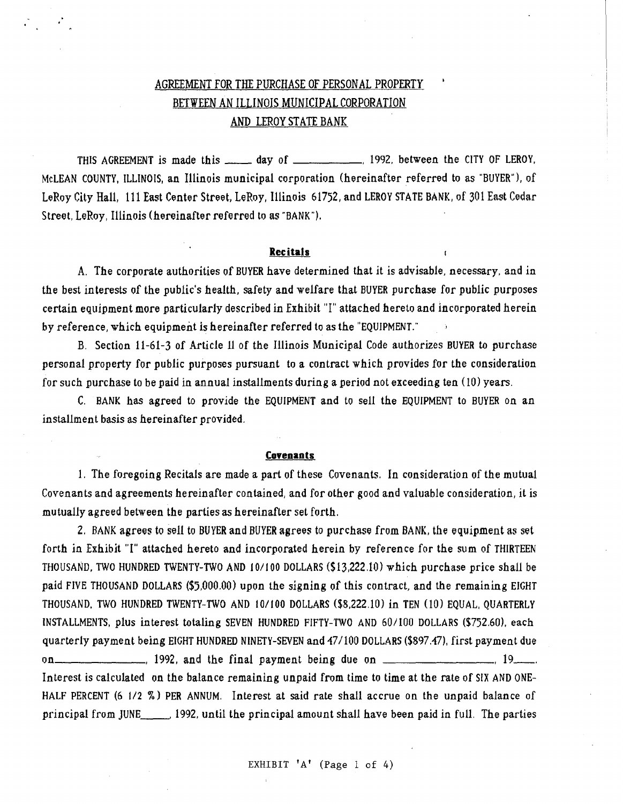# AGREEMENT FOR THE PURCHASE OF PERSONAL PROPERTY BETWEEN AN ILLINOIS MUNICIPAL CORPORATION AND LEROY STATE BANK

THIS AGREEMENT is made this \_\_\_\_\_ day of \_\_\_\_\_\_\_\_\_\_\_, 1992, between the CITY OF LEROY, McLEAN COUNTY, ILLINOIS, an Illinois municipal corporation (hereinafter referred to as "BUYER"), of LeRoy City Hall, 111 East Center Street, LeRoy, Illinois 61752, and LEROY STATE BANK, of 301 East Cedar Street, LeRoy, Illinois (hereinafter referred to as "BANK").

#### Recitals

A. The corporate authorities of BUYER have determined that it is advisable, necessary, and in the best interests of the public's health, safety and welfare that BUYER purchase for public purposes certain equipment more particularly described in Exhibit "I" attached hereto and incorporated herein by reference, which equipment is hereinafter referred to as the "EQUIPMENT."

B. Section 11-61-3 of Article 11 of the Illinois Municipal Code authorizes BUYER to purchase personal property for public purposes pursuant to a contract which provides for the consideration for such purchase to be paid in annual installments during a period not exceeding ten (10) years.

C. BANK has agreed to provide the EQUIPMENT and to sell the EQUIPMENT to BUYER on an installment basis as hereinafter provided.

#### **Covenants**

1, The foregoing Recitals are made a part of these Covenants. In consideration of the mutual Covenants and agreements hereinafter contained, and for other good and valuable consideration, it is mutually agreed between the parties as hereinafter set forth.

2. BANK agrees to sell to BUYER and BUYER agrees to purchase from BANK, the equipment as set forth in Exhibit "I" attached hereto and incorporated herein by reference for the sum of THIRTEEN THOUSAND, TWO HUNDRED TWENTY-TWO AND 10/100 DOLLARS (\$13,222.10) which purchase price shall be paid FIVE THOUSAND DOLLARS (\$5,000.00) upon the signing of this contract, and the remaining EIGHT THOUSAND, TWO HUNDRED TWENTY-TWO AND 10/100 DOLLARS (\$8,222,10) in TEN (10) EQUAL, QUARTERLY INSTALLMENTS, plus interest totaling SEVEN HUNDRED FIFTY-TWO AND 60/100 DOLLARS (\$752.60), each quarterly payment being EIGHT HUNDRED NINETY-SEVEN and 47/100 DOLLARS (\$897.47), first payment due on  $\sim$  1992, and the final payment being due on  $\sim$ Interest is calculated on the balance remaining unpaid from time to time at the rate of SIX AND ONE-HALF PERCENT (6 1/2 %) PER ANNUM. Interest at said rate shall accrue on the unpaid balance of principal from JUNE. 1992, until the principal amount shall have been paid in full. The parties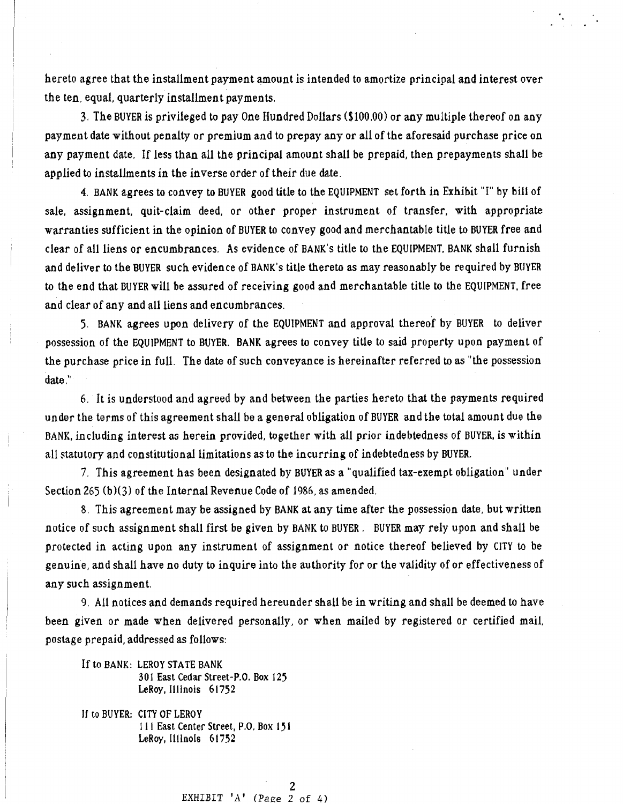hereto agree that the installment payment amount is intended to amortize principal and interest over the ten; equal, quarterly installment payments,

3. The BUYER is privileged to pay One Hundred Dollars (\$100,00) or any multiple thereof on any payment date without penalty or premium and to prepay any or all of the aforesaid purchase price on any payment date. If less than all the principal amount shall be prepaid, then prepayments shall be applied to installments in the inverse order of their due date.

4. BANK agrees to convey to BUYER good title to the EQUIPMENT set forth in Exhibit "I" by bill of sale, assignment, quit-claim deed, or other proper instrument of transfer, with appropriate warranties sufficient in the opinion of BUYER to convey good and merchantable title to BUYER free and clear of all liens or encumbrances. As evidence of BANK's title to the EQUIPMENT, BANK shall furnish and deliver to the BUYER such evidence of BANK's title thereto as may reasonably be required by BUYER to the end that BUYER will be assured of receiving good and merchantable title to the EQUIPMENT, free and clear of any and all liens and encumbrances.

5. BANK agrees upon delivery of the EQUIPMENT and approval thereof by BUYER to deliver possession of the EQUIPMENT to BUYER. BANK agrees to convey title to said property upon payment of the purchase price in full. The date of such conveyance is hereinafter referred to as "the possession date."

6, It is understood and agreed by and between the parties hereto that the payments required under the terms of this agreement shall be a general obligation of BUYER and the total amount due the BANK, including interest as herein provided, together with all prior indebtedness of BUYER, is within all statutory and constitutional limitations as to the incurring of indebtedness by BUYER.

7. This agreement has been designated by BUYER as a "qualified tax-exempt obligation" under Section 265 (b)(3) of the Internal Revenue Code of 1986, as amended.

8. This agreement may be assigned by BANK at any time after the possession date, but written notice of such assignment shall first be given by BANK to BUYER. BUYER may rely upon and shall be protected in acting upon any instrument of assignment or notice thereof believed by CITY to be genuine, and shall have no duty to inquire into the authority for or the validity of or effectiveness of any such assignment.

9. All notices and demands required hereunder shall be in writing and shall be deemed to have been given or made when delivered personally, or when mailed by registered or certified mail, postage prepaid, addressed as follows:

If to BANK: LEROY STATE BANK 301 East Cedar Street-P.O. Box 125 LeRoy, Illinois 61752

If to BUYER: CITY OF LEROY 11 I East Center Street, P.O, Box 151 LeRoy, Illinois 61752

> 2 EXHIBIT  $'A'$  (Page 2 of 4)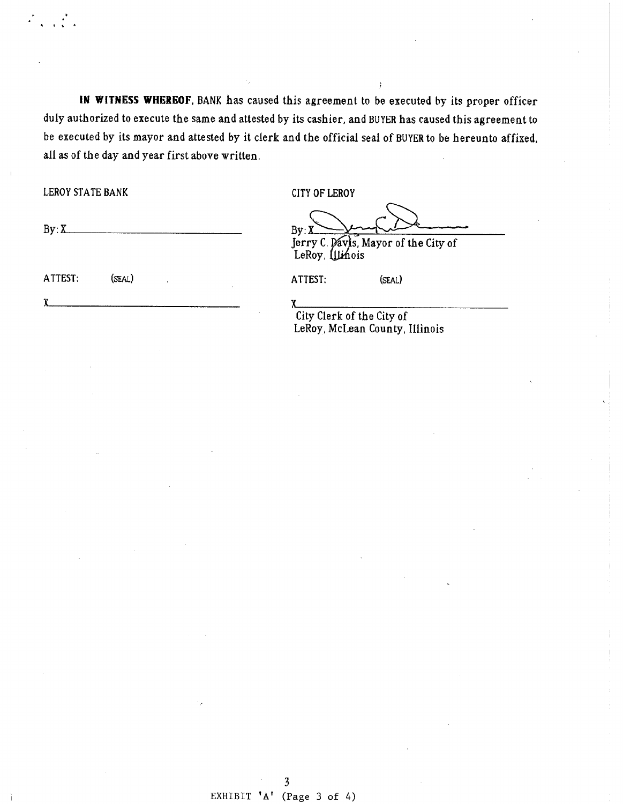IN WITNESS WHEREOF, BANK has caused this agreement to be executed by its proper officer duly authorized to execute the same and attested by its cashier, and BUYER has caused this agreement to be executed by its mayor and attested by it clerk and the official seal of BUYER to be hereunto affixed, all as of the day and year first above written.

LEROY STATE BANK CITY OF LEROY

 $By: X \longrightarrow By: X \longrightarrow A \longrightarrow A \longrightarrow B$ Jerry C. Davis, Mayor of the City of

LeRoy, Illinois

ATTEST: (SEAL) ATTEST: (SEAL)

 $\chi$ 

 $\chi$ City Clerk of the City of LeRoy, McLean County, Illinois